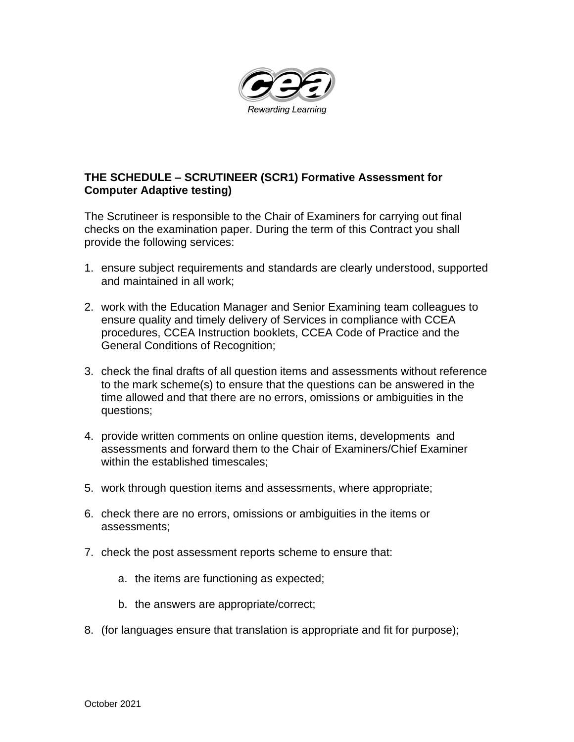

## **THE SCHEDULE – SCRUTINEER (SCR1) Formative Assessment for Computer Adaptive testing)**

The Scrutineer is responsible to the Chair of Examiners for carrying out final checks on the examination paper. During the term of this Contract you shall provide the following services:

- 1. ensure subject requirements and standards are clearly understood, supported and maintained in all work;
- 2. work with the Education Manager and Senior Examining team colleagues to ensure quality and timely delivery of Services in compliance with CCEA procedures, CCEA Instruction booklets, CCEA Code of Practice and the General Conditions of Recognition;
- 3. check the final drafts of all question items and assessments without reference to the mark scheme(s) to ensure that the questions can be answered in the time allowed and that there are no errors, omissions or ambiguities in the questions;
- 4. provide written comments on online question items, developments and assessments and forward them to the Chair of Examiners/Chief Examiner within the established timescales;
- 5. work through question items and assessments, where appropriate;
- 6. check there are no errors, omissions or ambiguities in the items or assessments;
- 7. check the post assessment reports scheme to ensure that:
	- a. the items are functioning as expected;
	- b. the answers are appropriate/correct;
- 8. (for languages ensure that translation is appropriate and fit for purpose);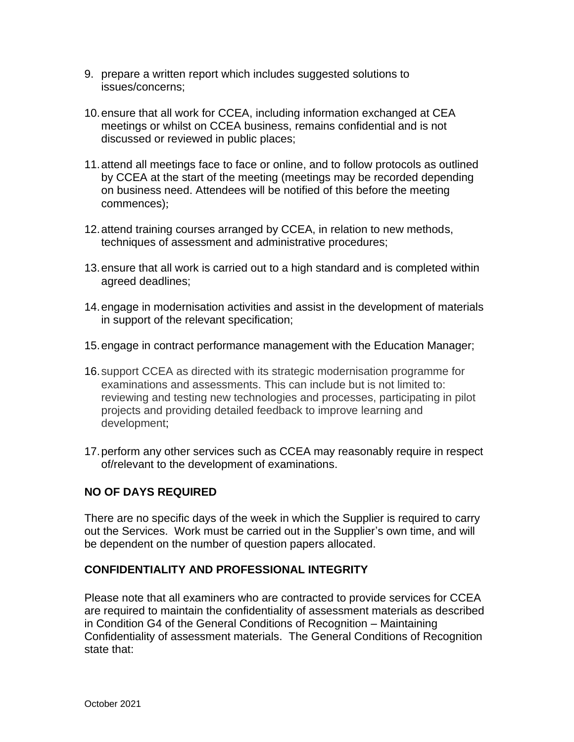- 9. prepare a written report which includes suggested solutions to issues/concerns;
- 10.ensure that all work for CCEA, including information exchanged at CEA meetings or whilst on CCEA business, remains confidential and is not discussed or reviewed in public places;
- 11.attend all meetings face to face or online, and to follow protocols as outlined by CCEA at the start of the meeting (meetings may be recorded depending on business need. Attendees will be notified of this before the meeting commences);
- 12.attend training courses arranged by CCEA, in relation to new methods, techniques of assessment and administrative procedures;
- 13.ensure that all work is carried out to a high standard and is completed within agreed deadlines;
- 14.engage in modernisation activities and assist in the development of materials in support of the relevant specification;
- 15.engage in contract performance management with the Education Manager;
- 16.support CCEA as directed with its strategic modernisation programme for examinations and assessments. This can include but is not limited to: reviewing and testing new technologies and processes, participating in pilot projects and providing detailed feedback to improve learning and development;
- 17.perform any other services such as CCEA may reasonably require in respect of/relevant to the development of examinations.

## **NO OF DAYS REQUIRED**

There are no specific days of the week in which the Supplier is required to carry out the Services. Work must be carried out in the Supplier's own time, and will be dependent on the number of question papers allocated.

## **CONFIDENTIALITY AND PROFESSIONAL INTEGRITY**

Please note that all examiners who are contracted to provide services for CCEA are required to maintain the confidentiality of assessment materials as described in Condition G4 of the General Conditions of Recognition – Maintaining Confidentiality of assessment materials. The General Conditions of Recognition state that: